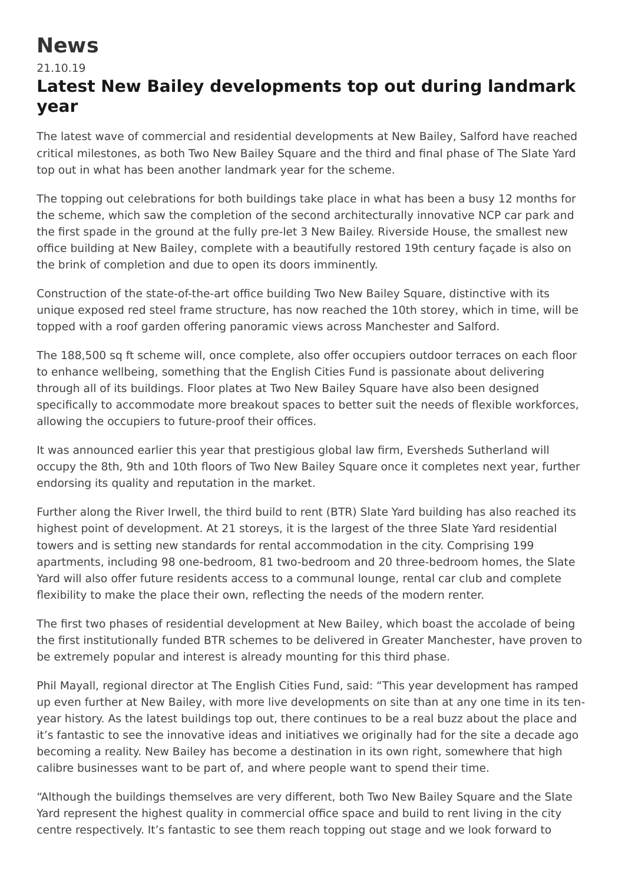## **News**

## 21.10.19 **Latest New Bailey developments top out during landmark year**

The latest wave of commercial and residential developments at New Bailey, Salford have reached critical milestones, as both Two New Bailey Square and the third and final phase of The Slate Yard top out in what has been another landmark year for the scheme.

The topping out celebrations for both buildings take place in what has been a busy 12 months for the scheme, which saw the completion of the second architecturally innovative NCP car park and the first spade in the ground at the fully pre-let 3 New Bailey. Riverside House, the smallest new office building at New Bailey, complete with a beautifully restored 19th century façade is also on the brink of completion and due to open its doors imminently.

Construction of the state-of-the-art office building Two New Bailey Square, distinctive with its unique exposed red steel frame structure, has now reached the 10th storey, which in time, will be topped with a roof garden offering panoramic views across Manchester and Salford.

The 188,500 sq ft scheme will, once complete, also offer occupiers outdoor terraces on each floor to enhance wellbeing, something that the English Cities Fund is passionate about delivering through all of its buildings. Floor plates at Two New Bailey Square have also been designed specifically to accommodate more breakout spaces to better suit the needs of flexible workforces, allowing the occupiers to future-proof their offices.

It was announced earlier this year that prestigious global law firm, Eversheds Sutherland will occupy the 8th, 9th and 10th floors of Two New Bailey Square once it completes next year, further endorsing its quality and reputation in the market.

Further along the River Irwell, the third build to rent (BTR) Slate Yard building has also reached its highest point of development. At 21 storeys, it is the largest of the three Slate Yard residential towers and is setting new standards for rental accommodation in the city. Comprising 199 apartments, including 98 one-bedroom, 81 two-bedroom and 20 three-bedroom homes, the Slate Yard will also offer future residents access to a communal lounge, rental car club and complete flexibility to make the place their own, reflecting the needs of the modern renter.

The first two phases of residential development at New Bailey, which boast the accolade of being the first institutionally funded BTR schemes to be delivered in Greater Manchester, have proven to be extremely popular and interest is already mounting for this third phase.

Phil Mayall, regional director at The English Cities Fund, said: "This year development has ramped up even further at New Bailey, with more live developments on site than at any one time in its tenyear history. As the latest buildings top out, there continues to be a real buzz about the place and it's fantastic to see the innovative ideas and initiatives we originally had for the site a decade ago becoming a reality. New Bailey has become a destination in its own right, somewhere that high calibre businesses want to be part of, and where people want to spend their time.

"Although the buildings themselves are very different, both Two New Bailey Square and the Slate Yard represent the highest quality in commercial office space and build to rent living in the city centre respectively. It's fantastic to see them reach topping out stage and we look forward to